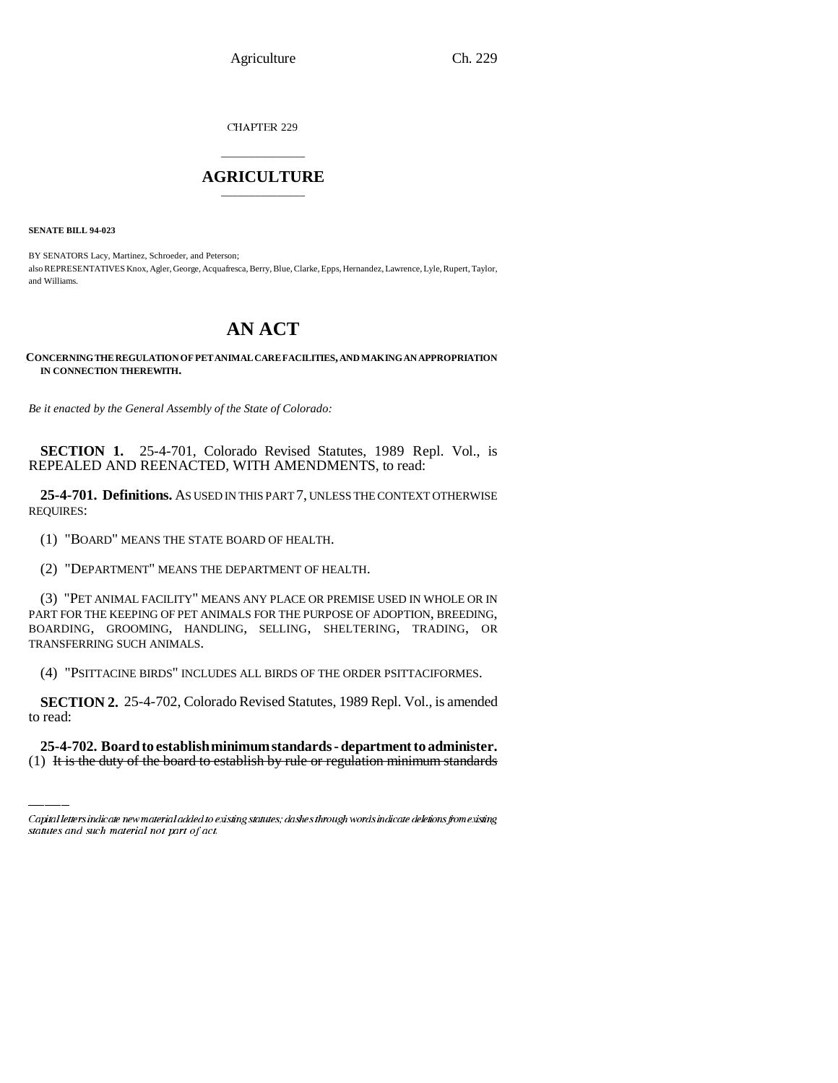Agriculture Ch. 229

CHAPTER 229

## \_\_\_\_\_\_\_\_\_\_\_\_\_\_\_ **AGRICULTURE** \_\_\_\_\_\_\_\_\_\_\_\_\_\_\_

**SENATE BILL 94-023**

BY SENATORS Lacy, Martinez, Schroeder, and Peterson; also REPRESENTATIVES Knox, Agler, George, Acquafresca, Berry, Blue, Clarke, Epps, Hernandez, Lawrence, Lyle, Rupert, Taylor, and Williams.

# **AN ACT**

#### **CONCERNING THE REGULATION OF PET ANIMAL CARE FACILITIES, AND MAKING AN APPROPRIATION IN CONNECTION THEREWITH.**

*Be it enacted by the General Assembly of the State of Colorado:*

**SECTION 1.** 25-4-701, Colorado Revised Statutes, 1989 Repl. Vol., is REPEALED AND REENACTED, WITH AMENDMENTS, to read:

**25-4-701. Definitions.** AS USED IN THIS PART 7, UNLESS THE CONTEXT OTHERWISE REQUIRES:

(1) "BOARD" MEANS THE STATE BOARD OF HEALTH.

(2) "DEPARTMENT" MEANS THE DEPARTMENT OF HEALTH.

(3) "PET ANIMAL FACILITY" MEANS ANY PLACE OR PREMISE USED IN WHOLE OR IN PART FOR THE KEEPING OF PET ANIMALS FOR THE PURPOSE OF ADOPTION, BREEDING, BOARDING, GROOMING, HANDLING, SELLING, SHELTERING, TRADING, OR TRANSFERRING SUCH ANIMALS.

(4) "PSITTACINE BIRDS" INCLUDES ALL BIRDS OF THE ORDER PSITTACIFORMES.

 **SECTION 2.** 25-4-702, Colorado Revised Statutes, 1989 Repl. Vol., is amended to read:

**25-4-702. Board to establish minimum standards - department to administer.** (1) It is the duty of the board to establish by rule or regulation minimum standards

Capital letters indicate new material added to existing statutes; dashes through words indicate deletions from existing statutes and such material not part of act.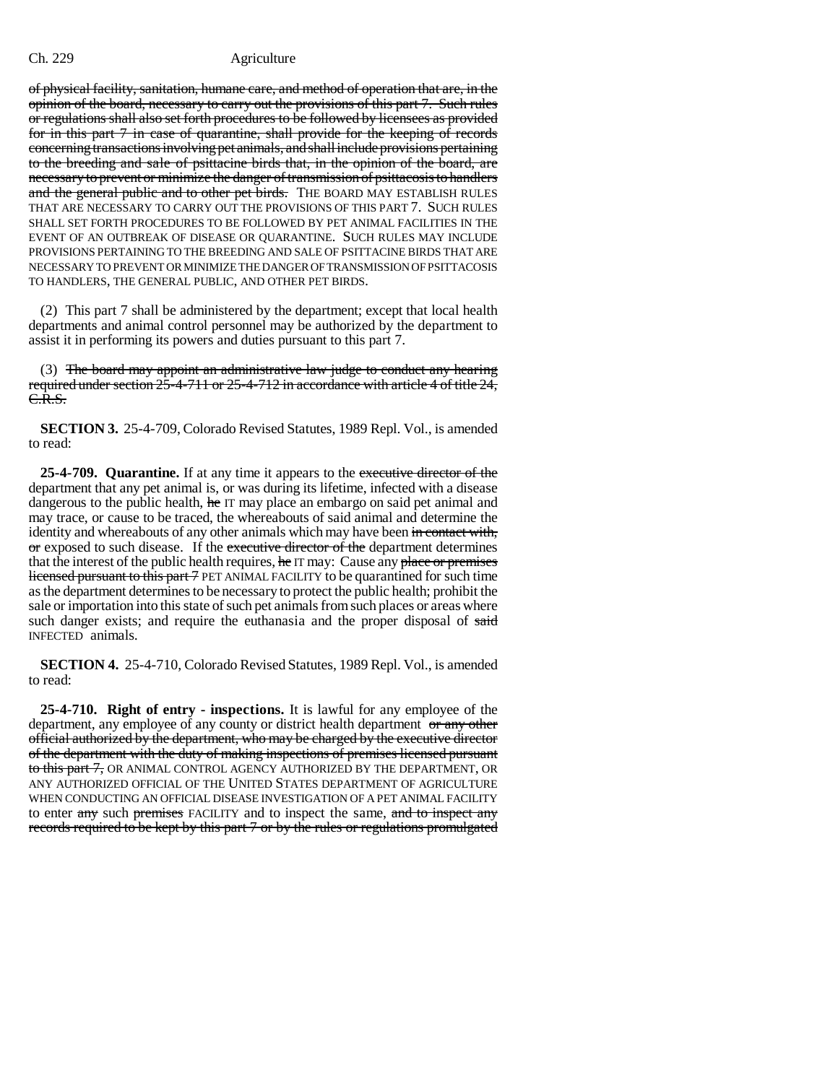of physical facility, sanitation, humane care, and method of operation that are, in the opinion of the board, necessary to carry out the provisions of this part 7. Such rules or regulations shall also set forth procedures to be followed by licensees as provided for in this part 7 in case of quarantine, shall provide for the keeping of records concerning transactions involving pet animals, and shall include provisions pertaining to the breeding and sale of psittacine birds that, in the opinion of the board, are necessary to prevent or minimize the danger of transmission of psittacosis to handlers and the general public and to other pet birds. THE BOARD MAY ESTABLISH RULES THAT ARE NECESSARY TO CARRY OUT THE PROVISIONS OF THIS PART 7. SUCH RULES SHALL SET FORTH PROCEDURES TO BE FOLLOWED BY PET ANIMAL FACILITIES IN THE EVENT OF AN OUTBREAK OF DISEASE OR QUARANTINE. SUCH RULES MAY INCLUDE PROVISIONS PERTAINING TO THE BREEDING AND SALE OF PSITTACINE BIRDS THAT ARE NECESSARY TO PREVENT OR MINIMIZE THE DANGER OF TRANSMISSION OF PSITTACOSIS TO HANDLERS, THE GENERAL PUBLIC, AND OTHER PET BIRDS.

(2) This part 7 shall be administered by the department; except that local health departments and animal control personnel may be authorized by the department to assist it in performing its powers and duties pursuant to this part 7.

(3) The board may appoint an administrative law judge to conduct any hearing required under section 25-4-711 or 25-4-712 in accordance with article 4 of title 24, C.R.S.

**SECTION 3.** 25-4-709, Colorado Revised Statutes, 1989 Repl. Vol., is amended to read:

**25-4-709. Quarantine.** If at any time it appears to the executive director of the department that any pet animal is, or was during its lifetime, infected with a disease dangerous to the public health, he IT may place an embargo on said pet animal and may trace, or cause to be traced, the whereabouts of said animal and determine the identity and whereabouts of any other animals which may have been in contact with, or exposed to such disease. If the executive director of the department determines that the interest of the public health requires, he IT may: Cause any place or premises licensed pursuant to this part 7 PET ANIMAL FACILITY to be quarantined for such time as the department determines to be necessary to protect the public health; prohibit the sale or importation into this state of such pet animals from such places or areas where such danger exists; and require the euthanasia and the proper disposal of said INFECTED animals.

**SECTION 4.** 25-4-710, Colorado Revised Statutes, 1989 Repl. Vol., is amended to read:

**25-4-710. Right of entry - inspections.** It is lawful for any employee of the department, any employee of any county or district health department or any other official authorized by the department, who may be charged by the executive director of the department with the duty of making inspections of premises licensed pursuant to this part 7, OR ANIMAL CONTROL AGENCY AUTHORIZED BY THE DEPARTMENT, OR ANY AUTHORIZED OFFICIAL OF THE UNITED STATES DEPARTMENT OF AGRICULTURE WHEN CONDUCTING AN OFFICIAL DISEASE INVESTIGATION OF A PET ANIMAL FACILITY to enter any such premises FACILITY and to inspect the same, and to inspect any records required to be kept by this part 7 or by the rules or regulations promulgated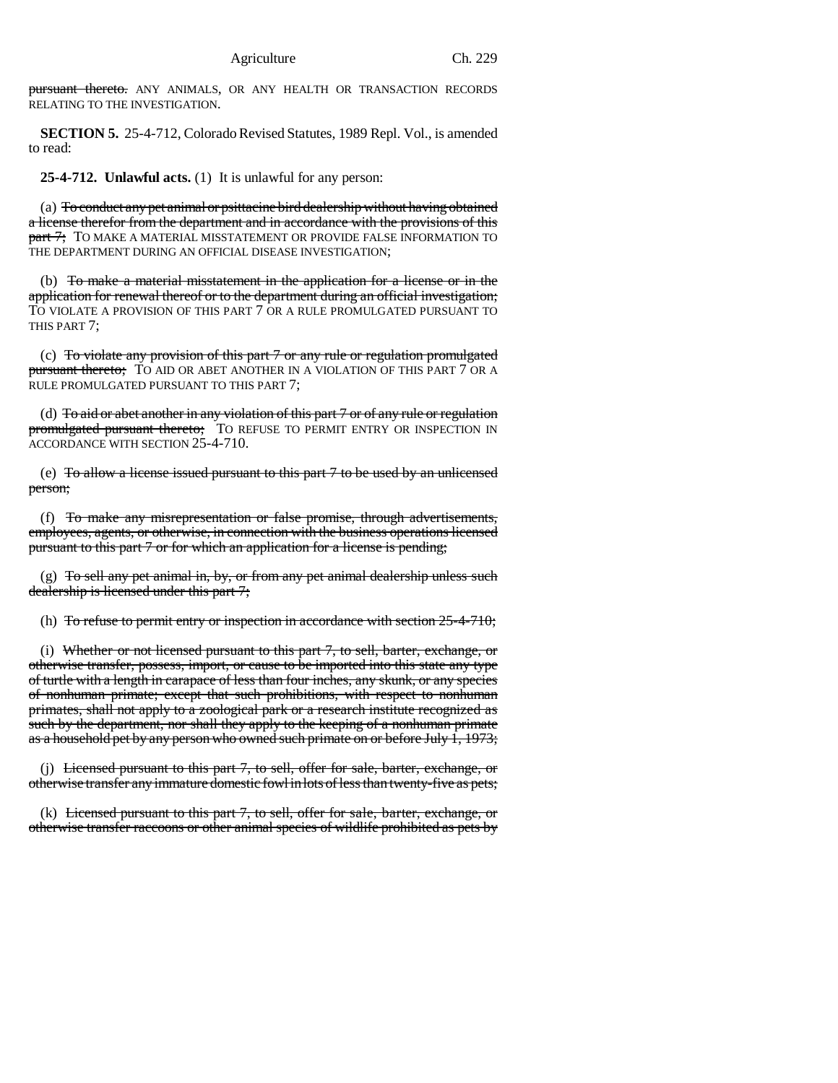pursuant thereto. ANY ANIMALS, OR ANY HEALTH OR TRANSACTION RECORDS RELATING TO THE INVESTIGATION.

**SECTION 5.** 25-4-712, Colorado Revised Statutes, 1989 Repl. Vol., is amended to read:

**25-4-712. Unlawful acts.** (1) It is unlawful for any person:

(a) To conduct any pet animal or psittacine bird dealership without having obtained a license therefor from the department and in accordance with the provisions of this part 7; TO MAKE A MATERIAL MISSTATEMENT OR PROVIDE FALSE INFORMATION TO THE DEPARTMENT DURING AN OFFICIAL DISEASE INVESTIGATION;

(b) To make a material misstatement in the application for a license or in the application for renewal thereof or to the department during an official investigation; TO VIOLATE A PROVISION OF THIS PART 7 OR A RULE PROMULGATED PURSUANT TO THIS PART 7;

(c) To violate any provision of this part 7 or any rule or regulation promulgated pursuant thereto; TO AID OR ABET ANOTHER IN A VIOLATION OF THIS PART 7 OR A RULE PROMULGATED PURSUANT TO THIS PART 7;

(d) To aid or abet another in any violation of this part 7 or of any rule or regulation promulgated pursuant thereto; TO REFUSE TO PERMIT ENTRY OR INSPECTION IN ACCORDANCE WITH SECTION 25-4-710.

(e) To allow a license issued pursuant to this part 7 to be used by an unlicensed person;

(f) To make any misrepresentation or false promise, through advertisements, employees, agents, or otherwise, in connection with the business operations licensed pursuant to this part 7 or for which an application for a license is pending;

(g)  $To sell any pet animal in, by, or from any pet animal dealership unless such$ dealership is licensed under this part 7;

(h) To refuse to permit entry or inspection in accordance with section  $25-4-710$ ;

(i) Whether or not licensed pursuant to this part 7, to sell, barter, exchange, or otherwise transfer, possess, import, or cause to be imported into this state any type of turtle with a length in carapace of less than four inches, any skunk, or any species of nonhuman primate; except that such prohibitions, with respect to nonhuman primates, shall not apply to a zoological park or a research institute recognized as such by the department, nor shall they apply to the keeping of a nonhuman primate as a household pet by any person who owned such primate on or before July 1, 1973;

(i) Licensed pursuant to this part 7, to sell, offer for sale, barter, exchange, or otherwise transfer any immature domestic fowl in lots of less than twenty-five as pets;

(k) Licensed pursuant to this part 7, to sell, offer for sale, barter, exchange, or otherwise transfer raccoons or other animal species of wildlife prohibited as pets by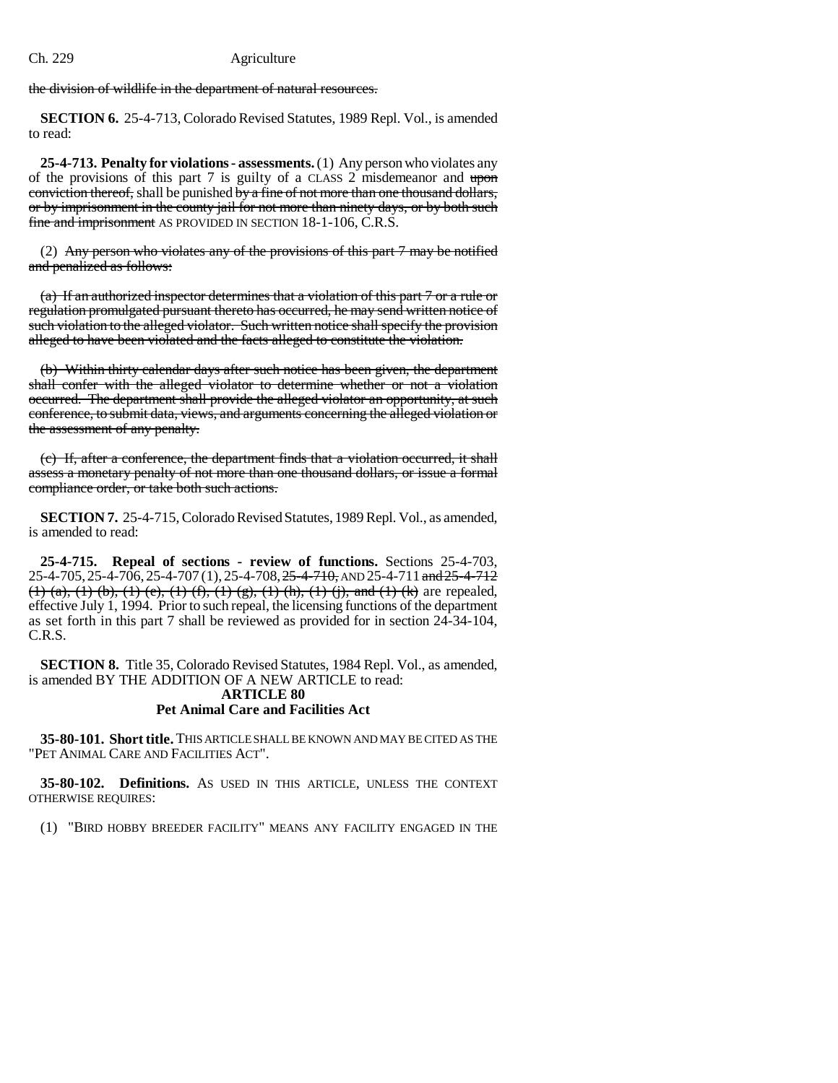the division of wildlife in the department of natural resources.

**SECTION 6.** 25-4-713, Colorado Revised Statutes, 1989 Repl. Vol., is amended to read:

**25-4-713. Penalty for violations - assessments.** (1) Any person who violates any of the provisions of this part 7 is guilty of a CLASS 2 misdemeanor and upon conviction thereof, shall be punished by a fine of not more than one thousand dollars, or by imprisonment in the county jail for not more than ninety days, or by both such fine and imprisonment AS PROVIDED IN SECTION 18-1-106, C.R.S.

(2) Any person who violates any of the provisions of this part 7 may be notified and penalized as follows:

(a) If an authorized inspector determines that a violation of this part 7 or a rule or regulation promulgated pursuant thereto has occurred, he may send written notice of such violation to the alleged violator. Such written notice shall specify the provision alleged to have been violated and the facts alleged to constitute the violation.

(b) Within thirty calendar days after such notice has been given, the department shall confer with the alleged violator to determine whether or not a violation occurred. The department shall provide the alleged violator an opportunity, at such conference, to submit data, views, and arguments concerning the alleged violation or the assessment of any penalty.

(c) If, after a conference, the department finds that a violation occurred, it shall assess a monetary penalty of not more than one thousand dollars, or issue a formal compliance order, or take both such actions.

**SECTION 7.** 25-4-715, Colorado Revised Statutes, 1989 Repl. Vol., as amended, is amended to read:

**25-4-715. Repeal of sections - review of functions.** Sections 25-4-703, 25-4-705, 25-4-706, 25-4-707 (1), 25-4-708, 25-4-710, AND 25-4-711 and 25-4-712 (1) (a), (1) (b), (1) (e), (1) (f), (1) (g), (1) (h), (1) (j), and (1) (k) are repealed, effective July 1, 1994. Prior to such repeal, the licensing functions of the department as set forth in this part 7 shall be reviewed as provided for in section 24-34-104, C.R.S.

**SECTION 8.** Title 35, Colorado Revised Statutes, 1984 Repl. Vol., as amended, is amended BY THE ADDITION OF A NEW ARTICLE to read: **ARTICLE 80 Pet Animal Care and Facilities Act**

**35-80-101. Short title.** THIS ARTICLE SHALL BE KNOWN AND MAY BE CITED AS THE "PET ANIMAL CARE AND FACILITIES ACT".

**35-80-102. Definitions.** AS USED IN THIS ARTICLE, UNLESS THE CONTEXT OTHERWISE REQUIRES:

(1) "BIRD HOBBY BREEDER FACILITY" MEANS ANY FACILITY ENGAGED IN THE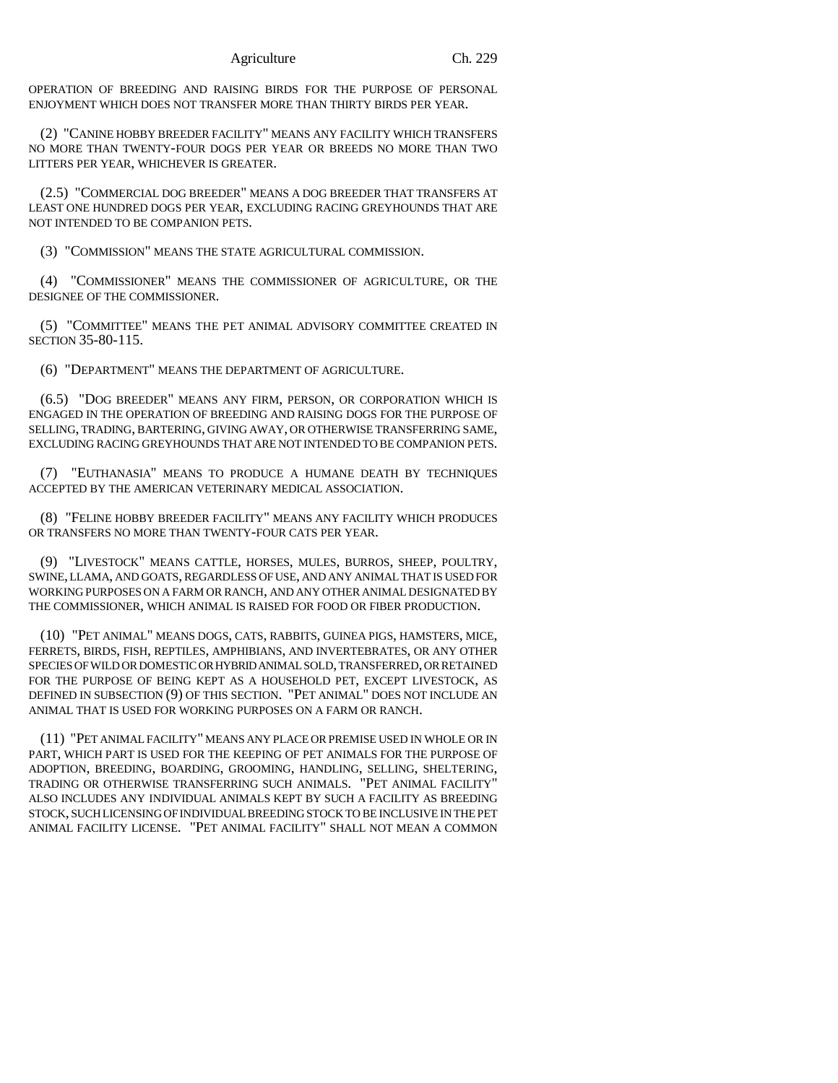OPERATION OF BREEDING AND RAISING BIRDS FOR THE PURPOSE OF PERSONAL ENJOYMENT WHICH DOES NOT TRANSFER MORE THAN THIRTY BIRDS PER YEAR.

(2) "CANINE HOBBY BREEDER FACILITY" MEANS ANY FACILITY WHICH TRANSFERS NO MORE THAN TWENTY-FOUR DOGS PER YEAR OR BREEDS NO MORE THAN TWO LITTERS PER YEAR, WHICHEVER IS GREATER.

(2.5) "COMMERCIAL DOG BREEDER" MEANS A DOG BREEDER THAT TRANSFERS AT LEAST ONE HUNDRED DOGS PER YEAR, EXCLUDING RACING GREYHOUNDS THAT ARE NOT INTENDED TO BE COMPANION PETS.

(3) "COMMISSION" MEANS THE STATE AGRICULTURAL COMMISSION.

(4) "COMMISSIONER" MEANS THE COMMISSIONER OF AGRICULTURE, OR THE DESIGNEE OF THE COMMISSIONER.

(5) "COMMITTEE" MEANS THE PET ANIMAL ADVISORY COMMITTEE CREATED IN SECTION 35-80-115.

(6) "DEPARTMENT" MEANS THE DEPARTMENT OF AGRICULTURE.

(6.5) "DOG BREEDER" MEANS ANY FIRM, PERSON, OR CORPORATION WHICH IS ENGAGED IN THE OPERATION OF BREEDING AND RAISING DOGS FOR THE PURPOSE OF SELLING, TRADING, BARTERING, GIVING AWAY, OR OTHERWISE TRANSFERRING SAME, EXCLUDING RACING GREYHOUNDS THAT ARE NOT INTENDED TO BE COMPANION PETS.

(7) "EUTHANASIA" MEANS TO PRODUCE A HUMANE DEATH BY TECHNIQUES ACCEPTED BY THE AMERICAN VETERINARY MEDICAL ASSOCIATION.

(8) "FELINE HOBBY BREEDER FACILITY" MEANS ANY FACILITY WHICH PRODUCES OR TRANSFERS NO MORE THAN TWENTY-FOUR CATS PER YEAR.

(9) "LIVESTOCK" MEANS CATTLE, HORSES, MULES, BURROS, SHEEP, POULTRY, SWINE, LLAMA, AND GOATS, REGARDLESS OF USE, AND ANY ANIMAL THAT IS USED FOR WORKING PURPOSES ON A FARM OR RANCH, AND ANY OTHER ANIMAL DESIGNATED BY THE COMMISSIONER, WHICH ANIMAL IS RAISED FOR FOOD OR FIBER PRODUCTION.

(10) "PET ANIMAL" MEANS DOGS, CATS, RABBITS, GUINEA PIGS, HAMSTERS, MICE, FERRETS, BIRDS, FISH, REPTILES, AMPHIBIANS, AND INVERTEBRATES, OR ANY OTHER SPECIES OF WILD OR DOMESTIC OR HYBRID ANIMAL SOLD, TRANSFERRED, OR RETAINED FOR THE PURPOSE OF BEING KEPT AS A HOUSEHOLD PET, EXCEPT LIVESTOCK, AS DEFINED IN SUBSECTION (9) OF THIS SECTION. "PET ANIMAL" DOES NOT INCLUDE AN ANIMAL THAT IS USED FOR WORKING PURPOSES ON A FARM OR RANCH.

(11) "PET ANIMAL FACILITY" MEANS ANY PLACE OR PREMISE USED IN WHOLE OR IN PART, WHICH PART IS USED FOR THE KEEPING OF PET ANIMALS FOR THE PURPOSE OF ADOPTION, BREEDING, BOARDING, GROOMING, HANDLING, SELLING, SHELTERING, TRADING OR OTHERWISE TRANSFERRING SUCH ANIMALS. "PET ANIMAL FACILITY" ALSO INCLUDES ANY INDIVIDUAL ANIMALS KEPT BY SUCH A FACILITY AS BREEDING STOCK, SUCH LICENSING OF INDIVIDUAL BREEDING STOCK TO BE INCLUSIVE IN THE PET ANIMAL FACILITY LICENSE. "PET ANIMAL FACILITY" SHALL NOT MEAN A COMMON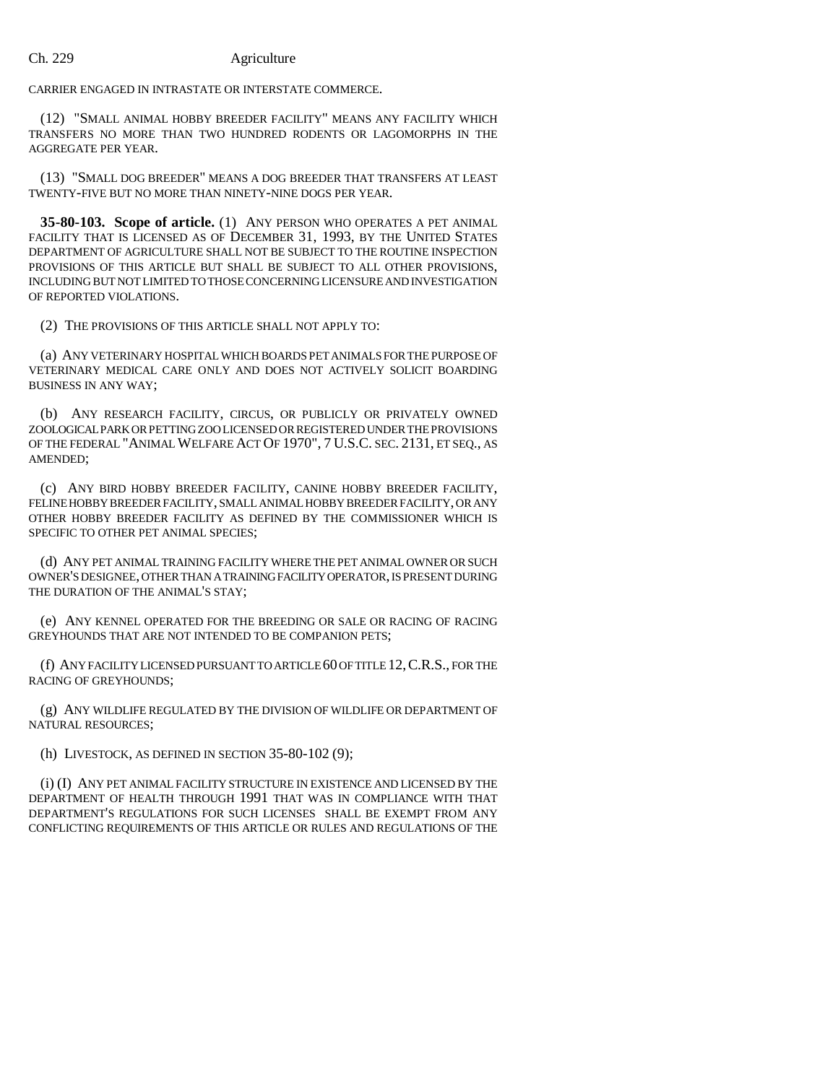CARRIER ENGAGED IN INTRASTATE OR INTERSTATE COMMERCE.

(12) "SMALL ANIMAL HOBBY BREEDER FACILITY" MEANS ANY FACILITY WHICH TRANSFERS NO MORE THAN TWO HUNDRED RODENTS OR LAGOMORPHS IN THE AGGREGATE PER YEAR.

(13) "SMALL DOG BREEDER" MEANS A DOG BREEDER THAT TRANSFERS AT LEAST TWENTY-FIVE BUT NO MORE THAN NINETY-NINE DOGS PER YEAR.

**35-80-103. Scope of article.** (1) ANY PERSON WHO OPERATES A PET ANIMAL FACILITY THAT IS LICENSED AS OF DECEMBER 31, 1993, BY THE UNITED STATES DEPARTMENT OF AGRICULTURE SHALL NOT BE SUBJECT TO THE ROUTINE INSPECTION PROVISIONS OF THIS ARTICLE BUT SHALL BE SUBJECT TO ALL OTHER PROVISIONS, INCLUDING BUT NOT LIMITED TO THOSE CONCERNING LICENSURE AND INVESTIGATION OF REPORTED VIOLATIONS.

(2) THE PROVISIONS OF THIS ARTICLE SHALL NOT APPLY TO:

(a) ANY VETERINARY HOSPITAL WHICH BOARDS PET ANIMALS FOR THE PURPOSE OF VETERINARY MEDICAL CARE ONLY AND DOES NOT ACTIVELY SOLICIT BOARDING BUSINESS IN ANY WAY;

(b) ANY RESEARCH FACILITY, CIRCUS, OR PUBLICLY OR PRIVATELY OWNED ZOOLOGICAL PARK OR PETTING ZOO LICENSED OR REGISTERED UNDER THE PROVISIONS OF THE FEDERAL "ANIMAL WELFARE ACT OF 1970", 7 U.S.C. SEC. 2131, ET SEQ., AS AMENDED;

(c) ANY BIRD HOBBY BREEDER FACILITY, CANINE HOBBY BREEDER FACILITY, FELINE HOBBY BREEDER FACILITY, SMALL ANIMAL HOBBY BREEDER FACILITY, OR ANY OTHER HOBBY BREEDER FACILITY AS DEFINED BY THE COMMISSIONER WHICH IS SPECIFIC TO OTHER PET ANIMAL SPECIES;

(d) ANY PET ANIMAL TRAINING FACILITY WHERE THE PET ANIMAL OWNER OR SUCH OWNER'S DESIGNEE, OTHER THAN A TRAINING FACILITY OPERATOR, IS PRESENT DURING THE DURATION OF THE ANIMAL'S STAY;

(e) ANY KENNEL OPERATED FOR THE BREEDING OR SALE OR RACING OF RACING GREYHOUNDS THAT ARE NOT INTENDED TO BE COMPANION PETS;

(f) ANY FACILITY LICENSED PURSUANT TO ARTICLE 60 OF TITLE 12,C.R.S., FOR THE RACING OF GREYHOUNDS;

(g) ANY WILDLIFE REGULATED BY THE DIVISION OF WILDLIFE OR DEPARTMENT OF NATURAL RESOURCES;

(h) LIVESTOCK, AS DEFINED IN SECTION 35-80-102 (9);

(i) (I) ANY PET ANIMAL FACILITY STRUCTURE IN EXISTENCE AND LICENSED BY THE DEPARTMENT OF HEALTH THROUGH 1991 THAT WAS IN COMPLIANCE WITH THAT DEPARTMENT'S REGULATIONS FOR SUCH LICENSES SHALL BE EXEMPT FROM ANY CONFLICTING REQUIREMENTS OF THIS ARTICLE OR RULES AND REGULATIONS OF THE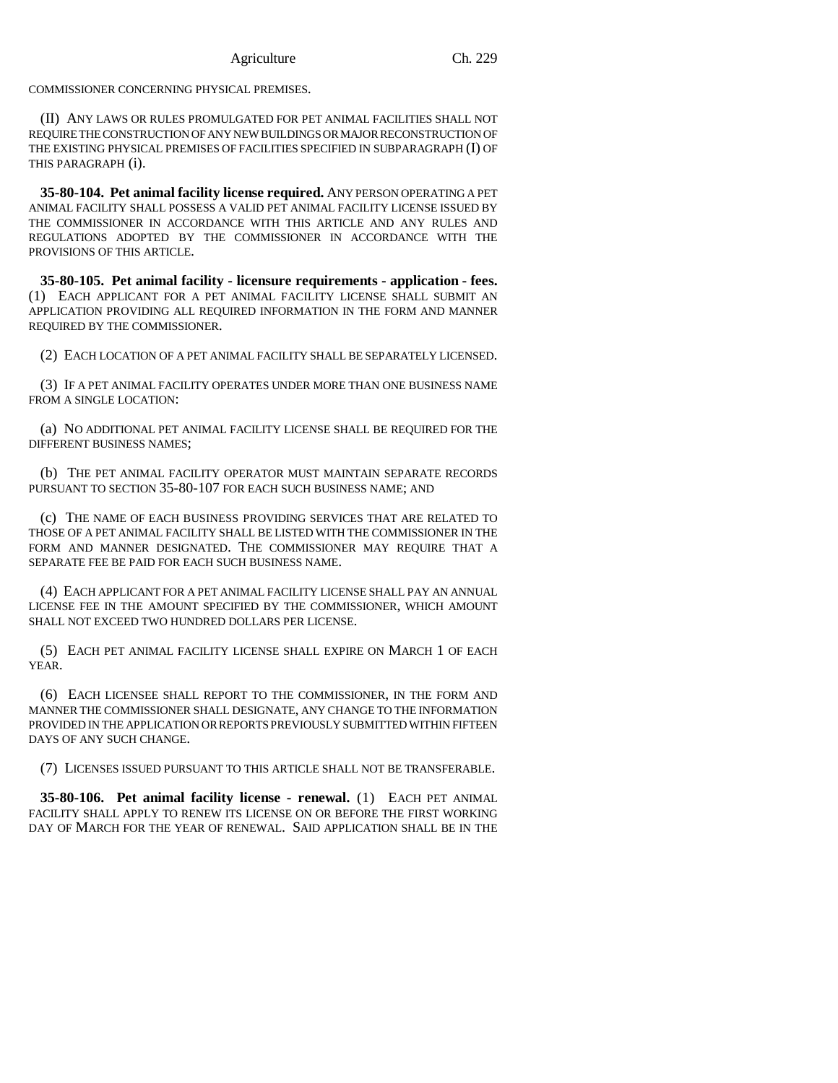COMMISSIONER CONCERNING PHYSICAL PREMISES.

(II) ANY LAWS OR RULES PROMULGATED FOR PET ANIMAL FACILITIES SHALL NOT REQUIRE THE CONSTRUCTION OF ANY NEW BUILDINGS OR MAJOR RECONSTRUCTION OF THE EXISTING PHYSICAL PREMISES OF FACILITIES SPECIFIED IN SUBPARAGRAPH (I) OF THIS PARAGRAPH (i).

**35-80-104. Pet animal facility license required.** ANY PERSON OPERATING A PET ANIMAL FACILITY SHALL POSSESS A VALID PET ANIMAL FACILITY LICENSE ISSUED BY THE COMMISSIONER IN ACCORDANCE WITH THIS ARTICLE AND ANY RULES AND REGULATIONS ADOPTED BY THE COMMISSIONER IN ACCORDANCE WITH THE PROVISIONS OF THIS ARTICLE.

**35-80-105. Pet animal facility - licensure requirements - application - fees.** (1) EACH APPLICANT FOR A PET ANIMAL FACILITY LICENSE SHALL SUBMIT AN APPLICATION PROVIDING ALL REQUIRED INFORMATION IN THE FORM AND MANNER REQUIRED BY THE COMMISSIONER.

(2) EACH LOCATION OF A PET ANIMAL FACILITY SHALL BE SEPARATELY LICENSED.

(3) IF A PET ANIMAL FACILITY OPERATES UNDER MORE THAN ONE BUSINESS NAME FROM A SINGLE LOCATION:

(a) NO ADDITIONAL PET ANIMAL FACILITY LICENSE SHALL BE REQUIRED FOR THE DIFFERENT BUSINESS NAMES;

(b) THE PET ANIMAL FACILITY OPERATOR MUST MAINTAIN SEPARATE RECORDS PURSUANT TO SECTION 35-80-107 FOR EACH SUCH BUSINESS NAME; AND

(c) THE NAME OF EACH BUSINESS PROVIDING SERVICES THAT ARE RELATED TO THOSE OF A PET ANIMAL FACILITY SHALL BE LISTED WITH THE COMMISSIONER IN THE FORM AND MANNER DESIGNATED. THE COMMISSIONER MAY REQUIRE THAT A SEPARATE FEE BE PAID FOR EACH SUCH BUSINESS NAME.

(4) EACH APPLICANT FOR A PET ANIMAL FACILITY LICENSE SHALL PAY AN ANNUAL LICENSE FEE IN THE AMOUNT SPECIFIED BY THE COMMISSIONER, WHICH AMOUNT SHALL NOT EXCEED TWO HUNDRED DOLLARS PER LICENSE.

(5) EACH PET ANIMAL FACILITY LICENSE SHALL EXPIRE ON MARCH 1 OF EACH YEAR.

(6) EACH LICENSEE SHALL REPORT TO THE COMMISSIONER, IN THE FORM AND MANNER THE COMMISSIONER SHALL DESIGNATE, ANY CHANGE TO THE INFORMATION PROVIDED IN THE APPLICATION OR REPORTS PREVIOUSLY SUBMITTED WITHIN FIFTEEN DAYS OF ANY SUCH CHANGE.

(7) LICENSES ISSUED PURSUANT TO THIS ARTICLE SHALL NOT BE TRANSFERABLE.

**35-80-106. Pet animal facility license - renewal.** (1) EACH PET ANIMAL FACILITY SHALL APPLY TO RENEW ITS LICENSE ON OR BEFORE THE FIRST WORKING DAY OF MARCH FOR THE YEAR OF RENEWAL. SAID APPLICATION SHALL BE IN THE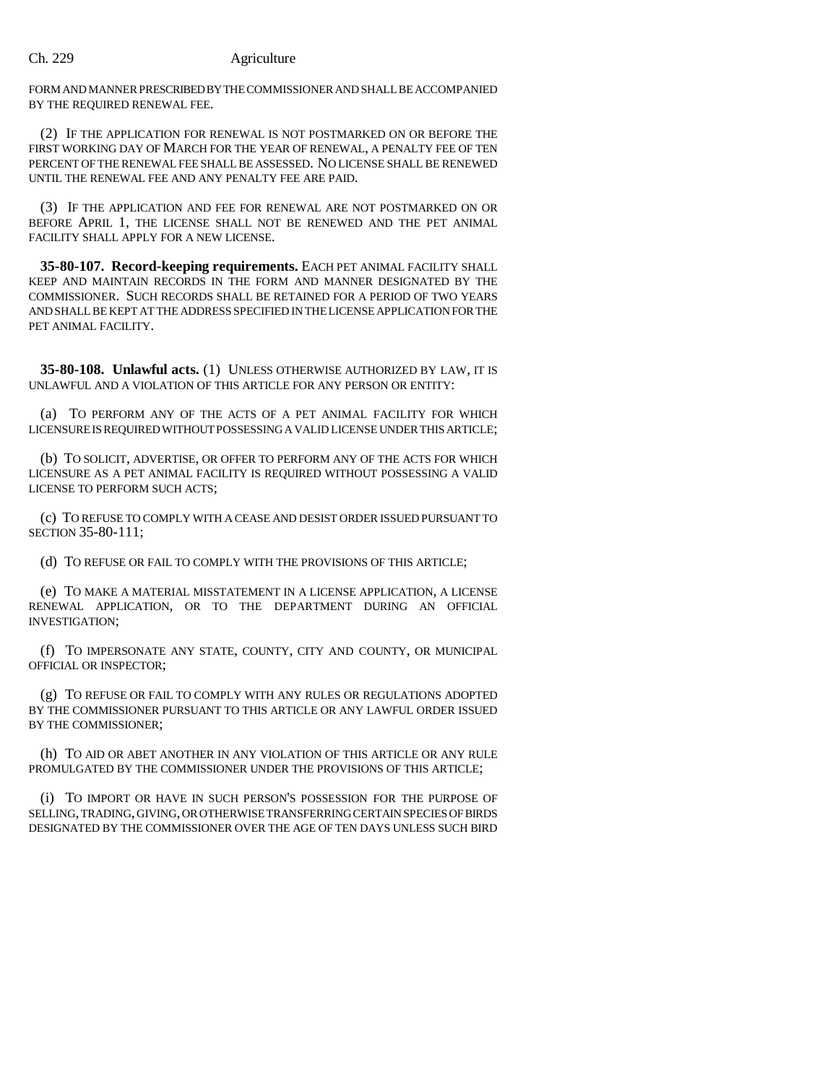FORM AND MANNER PRESCRIBED BY THE COMMISSIONER AND SHALL BE ACCOMPANIED BY THE REQUIRED RENEWAL FEE.

(2) IF THE APPLICATION FOR RENEWAL IS NOT POSTMARKED ON OR BEFORE THE FIRST WORKING DAY OF MARCH FOR THE YEAR OF RENEWAL, A PENALTY FEE OF TEN PERCENT OF THE RENEWAL FEE SHALL BE ASSESSED. NO LICENSE SHALL BE RENEWED UNTIL THE RENEWAL FEE AND ANY PENALTY FEE ARE PAID.

(3) IF THE APPLICATION AND FEE FOR RENEWAL ARE NOT POSTMARKED ON OR BEFORE APRIL 1, THE LICENSE SHALL NOT BE RENEWED AND THE PET ANIMAL FACILITY SHALL APPLY FOR A NEW LICENSE.

**35-80-107. Record-keeping requirements.** EACH PET ANIMAL FACILITY SHALL KEEP AND MAINTAIN RECORDS IN THE FORM AND MANNER DESIGNATED BY THE COMMISSIONER. SUCH RECORDS SHALL BE RETAINED FOR A PERIOD OF TWO YEARS AND SHALL BE KEPT AT THE ADDRESS SPECIFIED IN THE LICENSE APPLICATION FOR THE PET ANIMAL FACILITY.

**35-80-108. Unlawful acts.** (1) UNLESS OTHERWISE AUTHORIZED BY LAW, IT IS UNLAWFUL AND A VIOLATION OF THIS ARTICLE FOR ANY PERSON OR ENTITY:

(a) TO PERFORM ANY OF THE ACTS OF A PET ANIMAL FACILITY FOR WHICH LICENSURE IS REQUIRED WITHOUT POSSESSING A VALID LICENSE UNDER THIS ARTICLE;

(b) TO SOLICIT, ADVERTISE, OR OFFER TO PERFORM ANY OF THE ACTS FOR WHICH LICENSURE AS A PET ANIMAL FACILITY IS REQUIRED WITHOUT POSSESSING A VALID LICENSE TO PERFORM SUCH ACTS;

(c) TO REFUSE TO COMPLY WITH A CEASE AND DESIST ORDER ISSUED PURSUANT TO SECTION 35-80-111;

(d) TO REFUSE OR FAIL TO COMPLY WITH THE PROVISIONS OF THIS ARTICLE;

(e) TO MAKE A MATERIAL MISSTATEMENT IN A LICENSE APPLICATION, A LICENSE RENEWAL APPLICATION, OR TO THE DEPARTMENT DURING AN OFFICIAL INVESTIGATION;

(f) TO IMPERSONATE ANY STATE, COUNTY, CITY AND COUNTY, OR MUNICIPAL OFFICIAL OR INSPECTOR;

(g) TO REFUSE OR FAIL TO COMPLY WITH ANY RULES OR REGULATIONS ADOPTED BY THE COMMISSIONER PURSUANT TO THIS ARTICLE OR ANY LAWFUL ORDER ISSUED BY THE COMMISSIONER;

(h) TO AID OR ABET ANOTHER IN ANY VIOLATION OF THIS ARTICLE OR ANY RULE PROMULGATED BY THE COMMISSIONER UNDER THE PROVISIONS OF THIS ARTICLE;

(i) TO IMPORT OR HAVE IN SUCH PERSON'S POSSESSION FOR THE PURPOSE OF SELLING, TRADING, GIVING, OR OTHERWISE TRANSFERRING CERTAIN SPECIES OF BIRDS DESIGNATED BY THE COMMISSIONER OVER THE AGE OF TEN DAYS UNLESS SUCH BIRD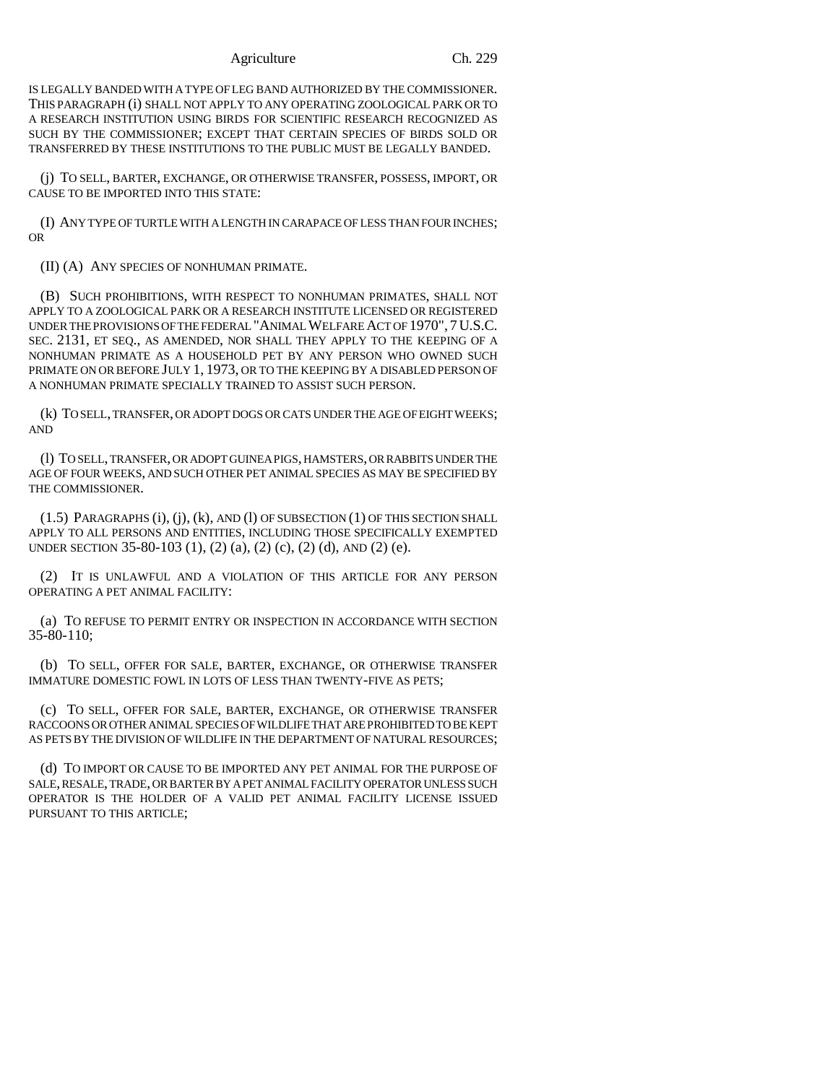#### Agriculture Ch. 229

IS LEGALLY BANDED WITH A TYPE OF LEG BAND AUTHORIZED BY THE COMMISSIONER. THIS PARAGRAPH (i) SHALL NOT APPLY TO ANY OPERATING ZOOLOGICAL PARK OR TO A RESEARCH INSTITUTION USING BIRDS FOR SCIENTIFIC RESEARCH RECOGNIZED AS SUCH BY THE COMMISSIONER; EXCEPT THAT CERTAIN SPECIES OF BIRDS SOLD OR TRANSFERRED BY THESE INSTITUTIONS TO THE PUBLIC MUST BE LEGALLY BANDED.

(j) TO SELL, BARTER, EXCHANGE, OR OTHERWISE TRANSFER, POSSESS, IMPORT, OR CAUSE TO BE IMPORTED INTO THIS STATE:

(I) ANY TYPE OF TURTLE WITH A LENGTH IN CARAPACE OF LESS THAN FOUR INCHES; OR

(II) (A) ANY SPECIES OF NONHUMAN PRIMATE.

(B) SUCH PROHIBITIONS, WITH RESPECT TO NONHUMAN PRIMATES, SHALL NOT APPLY TO A ZOOLOGICAL PARK OR A RESEARCH INSTITUTE LICENSED OR REGISTERED UNDER THE PROVISIONS OF THE FEDERAL "ANIMAL WELFARE ACT OF 1970", 7U.S.C. SEC. 2131, ET SEQ., AS AMENDED, NOR SHALL THEY APPLY TO THE KEEPING OF A NONHUMAN PRIMATE AS A HOUSEHOLD PET BY ANY PERSON WHO OWNED SUCH PRIMATE ON OR BEFORE JULY 1, 1973, OR TO THE KEEPING BY A DISABLED PERSON OF A NONHUMAN PRIMATE SPECIALLY TRAINED TO ASSIST SUCH PERSON.

(k) TO SELL, TRANSFER, OR ADOPT DOGS OR CATS UNDER THE AGE OF EIGHT WEEKS; AND

(l) TO SELL, TRANSFER, OR ADOPT GUINEA PIGS, HAMSTERS, OR RABBITS UNDER THE AGE OF FOUR WEEKS, AND SUCH OTHER PET ANIMAL SPECIES AS MAY BE SPECIFIED BY THE COMMISSIONER.

(1.5) PARAGRAPHS (i), (j), (k), AND (l) OF SUBSECTION (1) OF THIS SECTION SHALL APPLY TO ALL PERSONS AND ENTITIES, INCLUDING THOSE SPECIFICALLY EXEMPTED UNDER SECTION 35-80-103 (1), (2) (a), (2) (c), (2) (d), AND (2) (e).

(2) IT IS UNLAWFUL AND A VIOLATION OF THIS ARTICLE FOR ANY PERSON OPERATING A PET ANIMAL FACILITY:

(a) TO REFUSE TO PERMIT ENTRY OR INSPECTION IN ACCORDANCE WITH SECTION 35-80-110;

(b) TO SELL, OFFER FOR SALE, BARTER, EXCHANGE, OR OTHERWISE TRANSFER IMMATURE DOMESTIC FOWL IN LOTS OF LESS THAN TWENTY-FIVE AS PETS;

(c) TO SELL, OFFER FOR SALE, BARTER, EXCHANGE, OR OTHERWISE TRANSFER RACCOONS OR OTHER ANIMAL SPECIES OF WILDLIFE THAT ARE PROHIBITED TO BE KEPT AS PETS BY THE DIVISION OF WILDLIFE IN THE DEPARTMENT OF NATURAL RESOURCES;

(d) TO IMPORT OR CAUSE TO BE IMPORTED ANY PET ANIMAL FOR THE PURPOSE OF SALE, RESALE, TRADE, OR BARTER BY A PET ANIMAL FACILITY OPERATOR UNLESS SUCH OPERATOR IS THE HOLDER OF A VALID PET ANIMAL FACILITY LICENSE ISSUED PURSUANT TO THIS ARTICLE;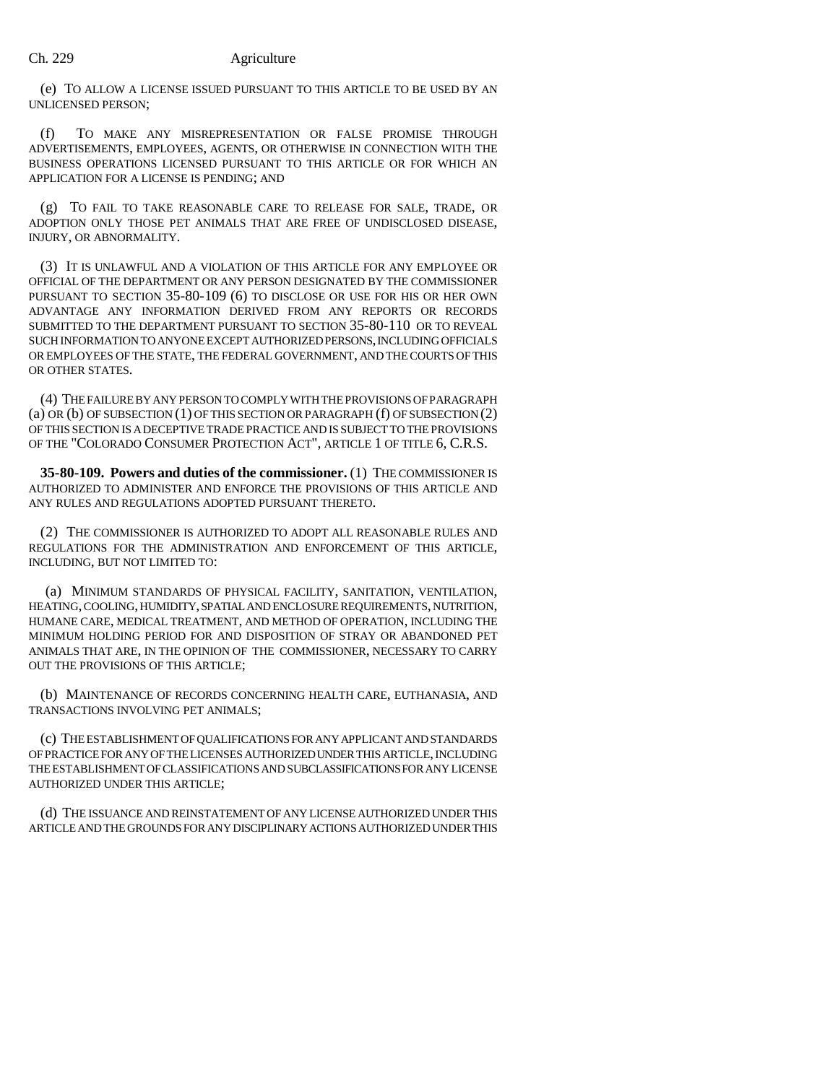(e) TO ALLOW A LICENSE ISSUED PURSUANT TO THIS ARTICLE TO BE USED BY AN UNLICENSED PERSON;

(f) TO MAKE ANY MISREPRESENTATION OR FALSE PROMISE THROUGH ADVERTISEMENTS, EMPLOYEES, AGENTS, OR OTHERWISE IN CONNECTION WITH THE BUSINESS OPERATIONS LICENSED PURSUANT TO THIS ARTICLE OR FOR WHICH AN APPLICATION FOR A LICENSE IS PENDING; AND

(g) TO FAIL TO TAKE REASONABLE CARE TO RELEASE FOR SALE, TRADE, OR ADOPTION ONLY THOSE PET ANIMALS THAT ARE FREE OF UNDISCLOSED DISEASE, INJURY, OR ABNORMALITY.

(3) IT IS UNLAWFUL AND A VIOLATION OF THIS ARTICLE FOR ANY EMPLOYEE OR OFFICIAL OF THE DEPARTMENT OR ANY PERSON DESIGNATED BY THE COMMISSIONER PURSUANT TO SECTION 35-80-109 (6) TO DISCLOSE OR USE FOR HIS OR HER OWN ADVANTAGE ANY INFORMATION DERIVED FROM ANY REPORTS OR RECORDS SUBMITTED TO THE DEPARTMENT PURSUANT TO SECTION 35-80-110 OR TO REVEAL SUCH INFORMATION TO ANYONE EXCEPT AUTHORIZED PERSONS, INCLUDING OFFICIALS OR EMPLOYEES OF THE STATE, THE FEDERAL GOVERNMENT, AND THE COURTS OF THIS OR OTHER STATES.

(4) THE FAILURE BY ANY PERSON TO COMPLY WITH THE PROVISIONS OF PARAGRAPH (a) OR (b) OF SUBSECTION (1) OF THIS SECTION OR PARAGRAPH (f) OF SUBSECTION (2) OF THIS SECTION IS A DECEPTIVE TRADE PRACTICE AND IS SUBJECT TO THE PROVISIONS OF THE "COLORADO CONSUMER PROTECTION ACT", ARTICLE 1 OF TITLE 6, C.R.S.

**35-80-109. Powers and duties of the commissioner.** (1) THE COMMISSIONER IS AUTHORIZED TO ADMINISTER AND ENFORCE THE PROVISIONS OF THIS ARTICLE AND ANY RULES AND REGULATIONS ADOPTED PURSUANT THERETO.

(2) THE COMMISSIONER IS AUTHORIZED TO ADOPT ALL REASONABLE RULES AND REGULATIONS FOR THE ADMINISTRATION AND ENFORCEMENT OF THIS ARTICLE, INCLUDING, BUT NOT LIMITED TO:

 (a) MINIMUM STANDARDS OF PHYSICAL FACILITY, SANITATION, VENTILATION, HEATING, COOLING, HUMIDITY, SPATIAL AND ENCLOSURE REQUIREMENTS, NUTRITION, HUMANE CARE, MEDICAL TREATMENT, AND METHOD OF OPERATION, INCLUDING THE MINIMUM HOLDING PERIOD FOR AND DISPOSITION OF STRAY OR ABANDONED PET ANIMALS THAT ARE, IN THE OPINION OF THE COMMISSIONER, NECESSARY TO CARRY OUT THE PROVISIONS OF THIS ARTICLE;

(b) MAINTENANCE OF RECORDS CONCERNING HEALTH CARE, EUTHANASIA, AND TRANSACTIONS INVOLVING PET ANIMALS;

(c) THE ESTABLISHMENT OF QUALIFICATIONS FOR ANY APPLICANT AND STANDARDS OF PRACTICE FOR ANY OF THE LICENSES AUTHORIZED UNDER THIS ARTICLE, INCLUDING THE ESTABLISHMENT OF CLASSIFICATIONS AND SUBCLASSIFICATIONS FOR ANY LICENSE AUTHORIZED UNDER THIS ARTICLE;

(d) THE ISSUANCE AND REINSTATEMENT OF ANY LICENSE AUTHORIZED UNDER THIS ARTICLE AND THE GROUNDS FOR ANY DISCIPLINARY ACTIONS AUTHORIZED UNDER THIS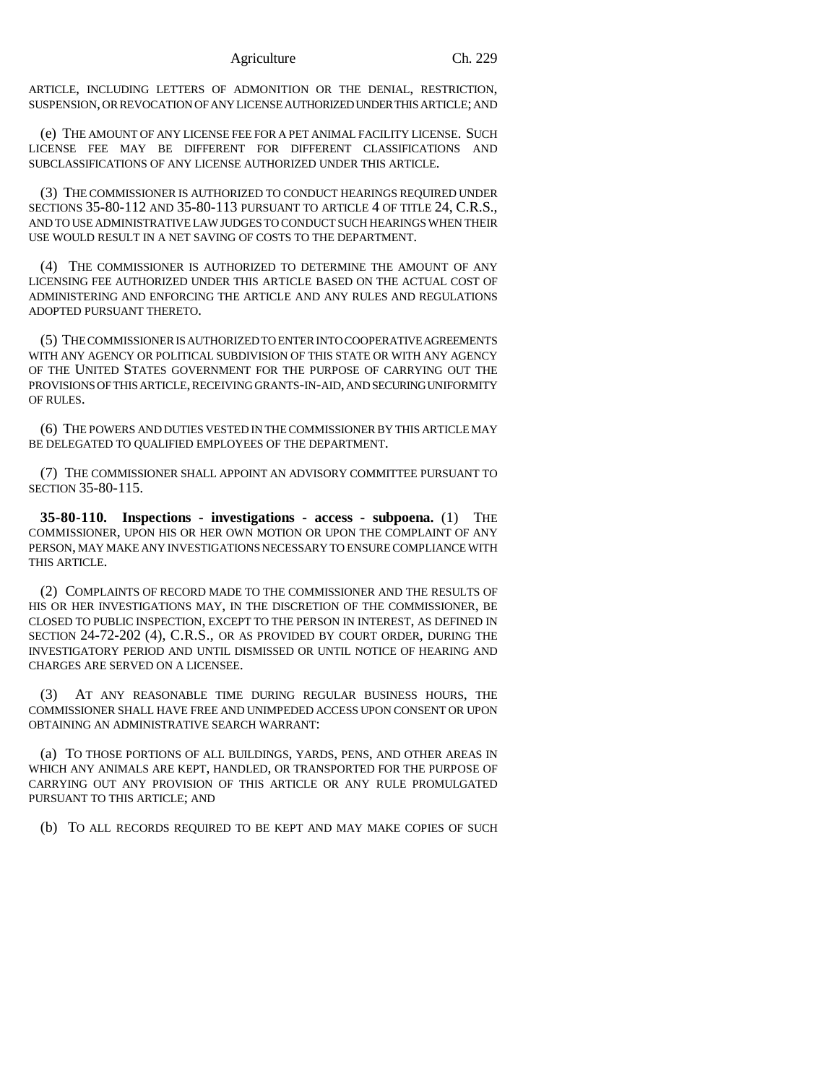ARTICLE, INCLUDING LETTERS OF ADMONITION OR THE DENIAL, RESTRICTION, SUSPENSION, OR REVOCATION OF ANY LICENSE AUTHORIZED UNDER THIS ARTICLE; AND

(e) THE AMOUNT OF ANY LICENSE FEE FOR A PET ANIMAL FACILITY LICENSE. SUCH LICENSE FEE MAY BE DIFFERENT FOR DIFFERENT CLASSIFICATIONS AND SUBCLASSIFICATIONS OF ANY LICENSE AUTHORIZED UNDER THIS ARTICLE.

(3) THE COMMISSIONER IS AUTHORIZED TO CONDUCT HEARINGS REQUIRED UNDER SECTIONS 35-80-112 AND 35-80-113 PURSUANT TO ARTICLE 4 OF TITLE 24, C.R.S., AND TO USE ADMINISTRATIVE LAW JUDGES TO CONDUCT SUCH HEARINGS WHEN THEIR USE WOULD RESULT IN A NET SAVING OF COSTS TO THE DEPARTMENT.

(4) THE COMMISSIONER IS AUTHORIZED TO DETERMINE THE AMOUNT OF ANY LICENSING FEE AUTHORIZED UNDER THIS ARTICLE BASED ON THE ACTUAL COST OF ADMINISTERING AND ENFORCING THE ARTICLE AND ANY RULES AND REGULATIONS ADOPTED PURSUANT THERETO.

(5) THE COMMISSIONER IS AUTHORIZED TO ENTER INTO COOPERATIVE AGREEMENTS WITH ANY AGENCY OR POLITICAL SUBDIVISION OF THIS STATE OR WITH ANY AGENCY OF THE UNITED STATES GOVERNMENT FOR THE PURPOSE OF CARRYING OUT THE PROVISIONS OF THIS ARTICLE, RECEIVING GRANTS-IN-AID, AND SECURING UNIFORMITY OF RULES.

(6) THE POWERS AND DUTIES VESTED IN THE COMMISSIONER BY THIS ARTICLE MAY BE DELEGATED TO QUALIFIED EMPLOYEES OF THE DEPARTMENT.

(7) THE COMMISSIONER SHALL APPOINT AN ADVISORY COMMITTEE PURSUANT TO SECTION 35-80-115.

**35-80-110. Inspections - investigations - access - subpoena.** (1) THE COMMISSIONER, UPON HIS OR HER OWN MOTION OR UPON THE COMPLAINT OF ANY PERSON, MAY MAKE ANY INVESTIGATIONS NECESSARY TO ENSURE COMPLIANCE WITH THIS ARTICLE.

(2) COMPLAINTS OF RECORD MADE TO THE COMMISSIONER AND THE RESULTS OF HIS OR HER INVESTIGATIONS MAY, IN THE DISCRETION OF THE COMMISSIONER, BE CLOSED TO PUBLIC INSPECTION, EXCEPT TO THE PERSON IN INTEREST, AS DEFINED IN SECTION 24-72-202 (4), C.R.S., OR AS PROVIDED BY COURT ORDER, DURING THE INVESTIGATORY PERIOD AND UNTIL DISMISSED OR UNTIL NOTICE OF HEARING AND CHARGES ARE SERVED ON A LICENSEE.

(3) AT ANY REASONABLE TIME DURING REGULAR BUSINESS HOURS, THE COMMISSIONER SHALL HAVE FREE AND UNIMPEDED ACCESS UPON CONSENT OR UPON OBTAINING AN ADMINISTRATIVE SEARCH WARRANT:

(a) TO THOSE PORTIONS OF ALL BUILDINGS, YARDS, PENS, AND OTHER AREAS IN WHICH ANY ANIMALS ARE KEPT, HANDLED, OR TRANSPORTED FOR THE PURPOSE OF CARRYING OUT ANY PROVISION OF THIS ARTICLE OR ANY RULE PROMULGATED PURSUANT TO THIS ARTICLE; AND

(b) TO ALL RECORDS REQUIRED TO BE KEPT AND MAY MAKE COPIES OF SUCH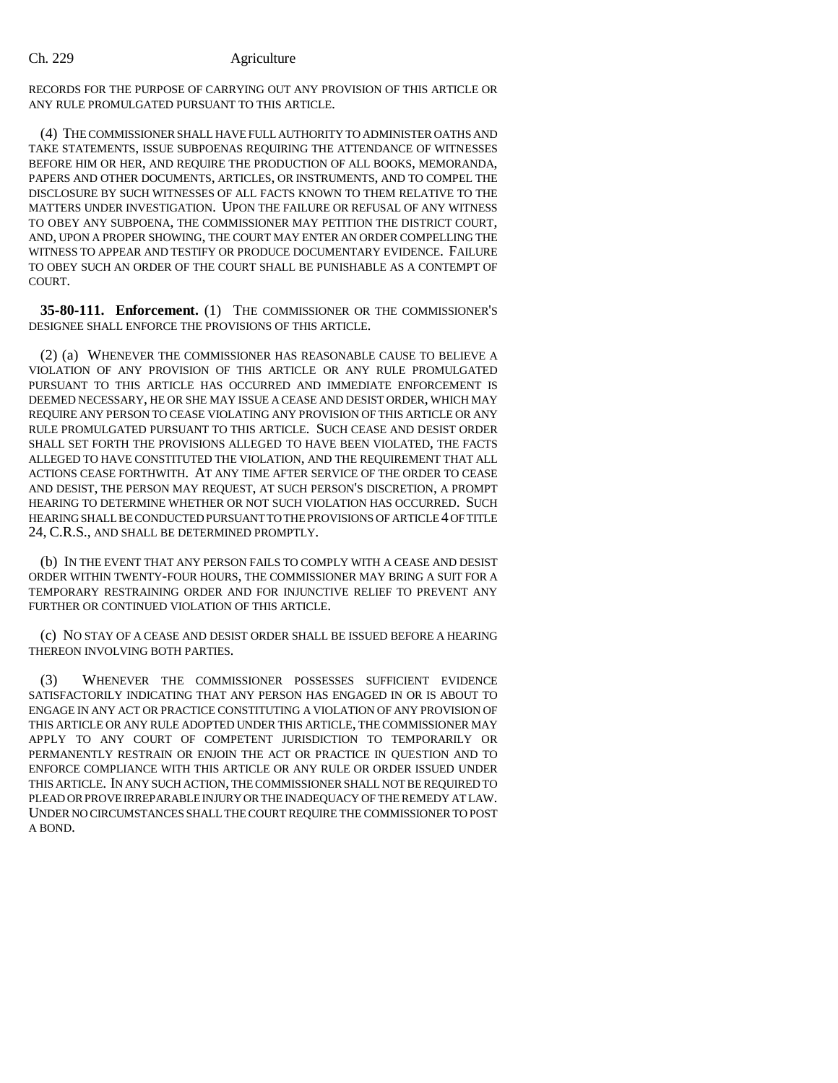RECORDS FOR THE PURPOSE OF CARRYING OUT ANY PROVISION OF THIS ARTICLE OR ANY RULE PROMULGATED PURSUANT TO THIS ARTICLE.

(4) THE COMMISSIONER SHALL HAVE FULL AUTHORITY TO ADMINISTER OATHS AND TAKE STATEMENTS, ISSUE SUBPOENAS REQUIRING THE ATTENDANCE OF WITNESSES BEFORE HIM OR HER, AND REQUIRE THE PRODUCTION OF ALL BOOKS, MEMORANDA, PAPERS AND OTHER DOCUMENTS, ARTICLES, OR INSTRUMENTS, AND TO COMPEL THE DISCLOSURE BY SUCH WITNESSES OF ALL FACTS KNOWN TO THEM RELATIVE TO THE MATTERS UNDER INVESTIGATION. UPON THE FAILURE OR REFUSAL OF ANY WITNESS TO OBEY ANY SUBPOENA, THE COMMISSIONER MAY PETITION THE DISTRICT COURT, AND, UPON A PROPER SHOWING, THE COURT MAY ENTER AN ORDER COMPELLING THE WITNESS TO APPEAR AND TESTIFY OR PRODUCE DOCUMENTARY EVIDENCE. FAILURE TO OBEY SUCH AN ORDER OF THE COURT SHALL BE PUNISHABLE AS A CONTEMPT OF COURT.

**35-80-111. Enforcement.** (1) THE COMMISSIONER OR THE COMMISSIONER'S DESIGNEE SHALL ENFORCE THE PROVISIONS OF THIS ARTICLE.

(2) (a) WHENEVER THE COMMISSIONER HAS REASONABLE CAUSE TO BELIEVE A VIOLATION OF ANY PROVISION OF THIS ARTICLE OR ANY RULE PROMULGATED PURSUANT TO THIS ARTICLE HAS OCCURRED AND IMMEDIATE ENFORCEMENT IS DEEMED NECESSARY, HE OR SHE MAY ISSUE A CEASE AND DESIST ORDER, WHICH MAY REQUIRE ANY PERSON TO CEASE VIOLATING ANY PROVISION OF THIS ARTICLE OR ANY RULE PROMULGATED PURSUANT TO THIS ARTICLE. SUCH CEASE AND DESIST ORDER SHALL SET FORTH THE PROVISIONS ALLEGED TO HAVE BEEN VIOLATED, THE FACTS ALLEGED TO HAVE CONSTITUTED THE VIOLATION, AND THE REQUIREMENT THAT ALL ACTIONS CEASE FORTHWITH. AT ANY TIME AFTER SERVICE OF THE ORDER TO CEASE AND DESIST, THE PERSON MAY REQUEST, AT SUCH PERSON'S DISCRETION, A PROMPT HEARING TO DETERMINE WHETHER OR NOT SUCH VIOLATION HAS OCCURRED. SUCH HEARING SHALL BE CONDUCTED PURSUANT TO THE PROVISIONS OF ARTICLE 4 OF TITLE 24, C.R.S., AND SHALL BE DETERMINED PROMPTLY.

(b) IN THE EVENT THAT ANY PERSON FAILS TO COMPLY WITH A CEASE AND DESIST ORDER WITHIN TWENTY-FOUR HOURS, THE COMMISSIONER MAY BRING A SUIT FOR A TEMPORARY RESTRAINING ORDER AND FOR INJUNCTIVE RELIEF TO PREVENT ANY FURTHER OR CONTINUED VIOLATION OF THIS ARTICLE.

(c) NO STAY OF A CEASE AND DESIST ORDER SHALL BE ISSUED BEFORE A HEARING THEREON INVOLVING BOTH PARTIES.

(3) WHENEVER THE COMMISSIONER POSSESSES SUFFICIENT EVIDENCE SATISFACTORILY INDICATING THAT ANY PERSON HAS ENGAGED IN OR IS ABOUT TO ENGAGE IN ANY ACT OR PRACTICE CONSTITUTING A VIOLATION OF ANY PROVISION OF THIS ARTICLE OR ANY RULE ADOPTED UNDER THIS ARTICLE, THE COMMISSIONER MAY APPLY TO ANY COURT OF COMPETENT JURISDICTION TO TEMPORARILY OR PERMANENTLY RESTRAIN OR ENJOIN THE ACT OR PRACTICE IN QUESTION AND TO ENFORCE COMPLIANCE WITH THIS ARTICLE OR ANY RULE OR ORDER ISSUED UNDER THIS ARTICLE. IN ANY SUCH ACTION, THE COMMISSIONER SHALL NOT BE REQUIRED TO PLEAD OR PROVE IRREPARABLE INJURY OR THE INADEQUACY OF THE REMEDY AT LAW. UNDER NO CIRCUMSTANCES SHALL THE COURT REQUIRE THE COMMISSIONER TO POST A BOND.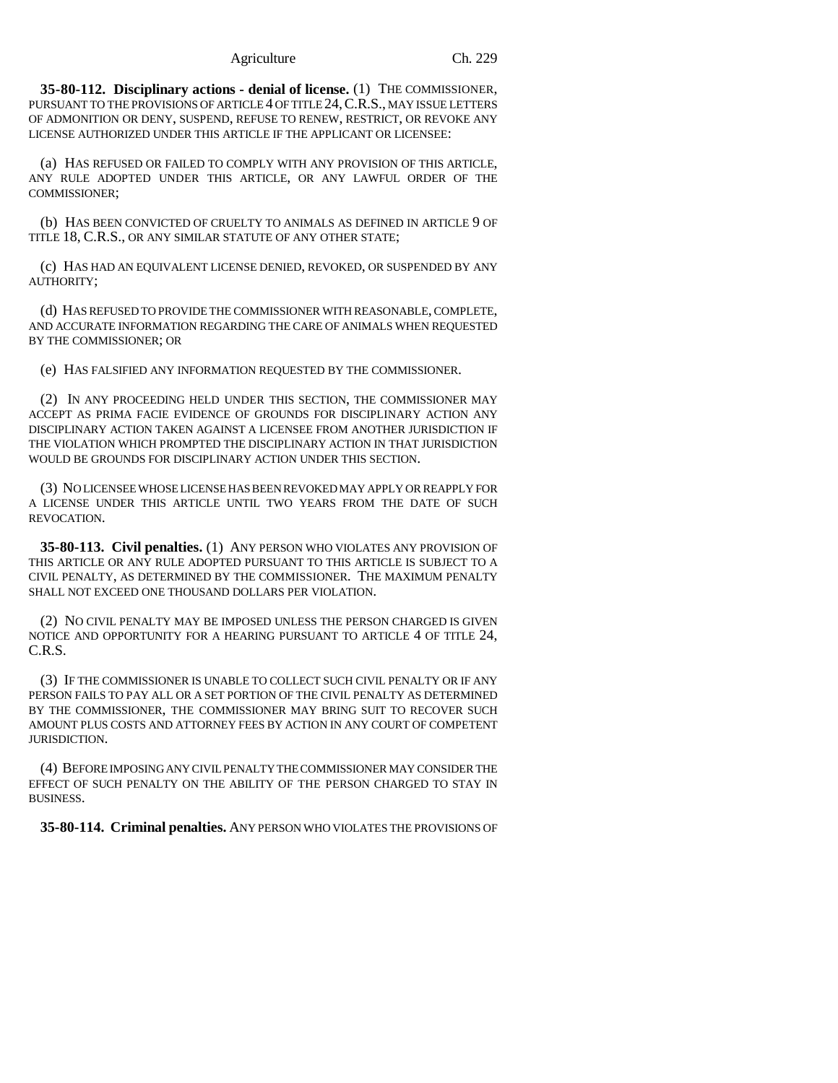**35-80-112. Disciplinary actions - denial of license.** (1) THE COMMISSIONER, PURSUANT TO THE PROVISIONS OF ARTICLE 4 OF TITLE 24,C.R.S., MAY ISSUE LETTERS OF ADMONITION OR DENY, SUSPEND, REFUSE TO RENEW, RESTRICT, OR REVOKE ANY LICENSE AUTHORIZED UNDER THIS ARTICLE IF THE APPLICANT OR LICENSEE:

(a) HAS REFUSED OR FAILED TO COMPLY WITH ANY PROVISION OF THIS ARTICLE, ANY RULE ADOPTED UNDER THIS ARTICLE, OR ANY LAWFUL ORDER OF THE COMMISSIONER;

(b) HAS BEEN CONVICTED OF CRUELTY TO ANIMALS AS DEFINED IN ARTICLE 9 OF TITLE 18, C.R.S., OR ANY SIMILAR STATUTE OF ANY OTHER STATE;

(c) HAS HAD AN EQUIVALENT LICENSE DENIED, REVOKED, OR SUSPENDED BY ANY AUTHORITY;

(d) HAS REFUSED TO PROVIDE THE COMMISSIONER WITH REASONABLE, COMPLETE, AND ACCURATE INFORMATION REGARDING THE CARE OF ANIMALS WHEN REQUESTED BY THE COMMISSIONER; OR

(e) HAS FALSIFIED ANY INFORMATION REQUESTED BY THE COMMISSIONER.

(2) IN ANY PROCEEDING HELD UNDER THIS SECTION, THE COMMISSIONER MAY ACCEPT AS PRIMA FACIE EVIDENCE OF GROUNDS FOR DISCIPLINARY ACTION ANY DISCIPLINARY ACTION TAKEN AGAINST A LICENSEE FROM ANOTHER JURISDICTION IF THE VIOLATION WHICH PROMPTED THE DISCIPLINARY ACTION IN THAT JURISDICTION WOULD BE GROUNDS FOR DISCIPLINARY ACTION UNDER THIS SECTION.

(3) NO LICENSEE WHOSE LICENSE HAS BEEN REVOKED MAY APPLY OR REAPPLY FOR A LICENSE UNDER THIS ARTICLE UNTIL TWO YEARS FROM THE DATE OF SUCH REVOCATION.

**35-80-113. Civil penalties.** (1) ANY PERSON WHO VIOLATES ANY PROVISION OF THIS ARTICLE OR ANY RULE ADOPTED PURSUANT TO THIS ARTICLE IS SUBJECT TO A CIVIL PENALTY, AS DETERMINED BY THE COMMISSIONER. THE MAXIMUM PENALTY SHALL NOT EXCEED ONE THOUSAND DOLLARS PER VIOLATION.

(2) NO CIVIL PENALTY MAY BE IMPOSED UNLESS THE PERSON CHARGED IS GIVEN NOTICE AND OPPORTUNITY FOR A HEARING PURSUANT TO ARTICLE 4 OF TITLE 24, C.R.S.

(3) IF THE COMMISSIONER IS UNABLE TO COLLECT SUCH CIVIL PENALTY OR IF ANY PERSON FAILS TO PAY ALL OR A SET PORTION OF THE CIVIL PENALTY AS DETERMINED BY THE COMMISSIONER, THE COMMISSIONER MAY BRING SUIT TO RECOVER SUCH AMOUNT PLUS COSTS AND ATTORNEY FEES BY ACTION IN ANY COURT OF COMPETENT JURISDICTION.

(4) BEFORE IMPOSING ANY CIVIL PENALTY THE COMMISSIONER MAY CONSIDER THE EFFECT OF SUCH PENALTY ON THE ABILITY OF THE PERSON CHARGED TO STAY IN BUSINESS.

**35-80-114. Criminal penalties.** ANY PERSON WHO VIOLATES THE PROVISIONS OF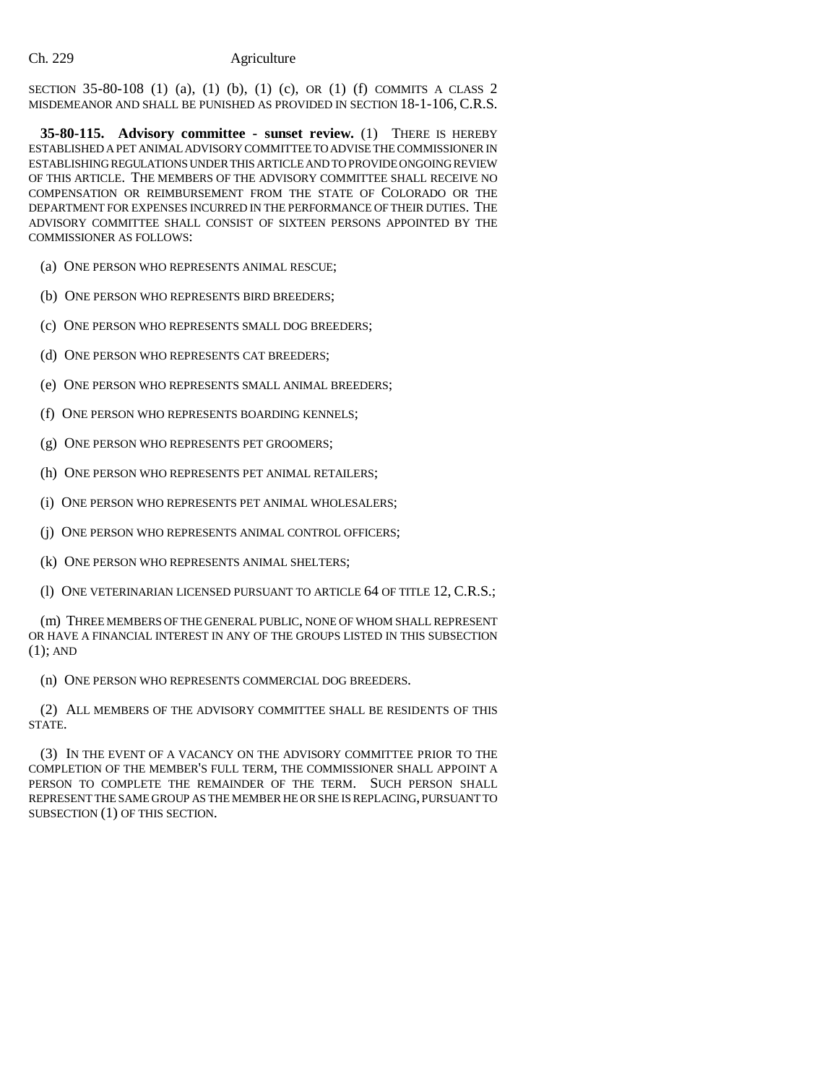SECTION 35-80-108 (1) (a), (1) (b), (1) (c), OR (1) (f) COMMITS A CLASS 2 MISDEMEANOR AND SHALL BE PUNISHED AS PROVIDED IN SECTION 18-1-106, C.R.S.

**35-80-115. Advisory committee - sunset review.** (1) THERE IS HEREBY ESTABLISHED A PET ANIMAL ADVISORY COMMITTEE TO ADVISE THE COMMISSIONER IN ESTABLISHING REGULATIONS UNDER THIS ARTICLE AND TO PROVIDE ONGOING REVIEW OF THIS ARTICLE. THE MEMBERS OF THE ADVISORY COMMITTEE SHALL RECEIVE NO COMPENSATION OR REIMBURSEMENT FROM THE STATE OF COLORADO OR THE DEPARTMENT FOR EXPENSES INCURRED IN THE PERFORMANCE OF THEIR DUTIES. THE ADVISORY COMMITTEE SHALL CONSIST OF SIXTEEN PERSONS APPOINTED BY THE COMMISSIONER AS FOLLOWS:

(a) ONE PERSON WHO REPRESENTS ANIMAL RESCUE;

(b) ONE PERSON WHO REPRESENTS BIRD BREEDERS;

(c) ONE PERSON WHO REPRESENTS SMALL DOG BREEDERS;

(d) ONE PERSON WHO REPRESENTS CAT BREEDERS;

(e) ONE PERSON WHO REPRESENTS SMALL ANIMAL BREEDERS;

(f) ONE PERSON WHO REPRESENTS BOARDING KENNELS;

(g) ONE PERSON WHO REPRESENTS PET GROOMERS;

(h) ONE PERSON WHO REPRESENTS PET ANIMAL RETAILERS;

(i) ONE PERSON WHO REPRESENTS PET ANIMAL WHOLESALERS;

(j) ONE PERSON WHO REPRESENTS ANIMAL CONTROL OFFICERS;

(k) ONE PERSON WHO REPRESENTS ANIMAL SHELTERS;

(l) ONE VETERINARIAN LICENSED PURSUANT TO ARTICLE 64 OF TITLE 12, C.R.S.;

(m) THREE MEMBERS OF THE GENERAL PUBLIC, NONE OF WHOM SHALL REPRESENT OR HAVE A FINANCIAL INTEREST IN ANY OF THE GROUPS LISTED IN THIS SUBSECTION  $(1)$ ; AND

(n) ONE PERSON WHO REPRESENTS COMMERCIAL DOG BREEDERS.

(2) ALL MEMBERS OF THE ADVISORY COMMITTEE SHALL BE RESIDENTS OF THIS STATE.

(3) IN THE EVENT OF A VACANCY ON THE ADVISORY COMMITTEE PRIOR TO THE COMPLETION OF THE MEMBER'S FULL TERM, THE COMMISSIONER SHALL APPOINT A PERSON TO COMPLETE THE REMAINDER OF THE TERM. SUCH PERSON SHALL REPRESENT THE SAME GROUP AS THE MEMBER HE OR SHE IS REPLACING, PURSUANT TO SUBSECTION (1) OF THIS SECTION.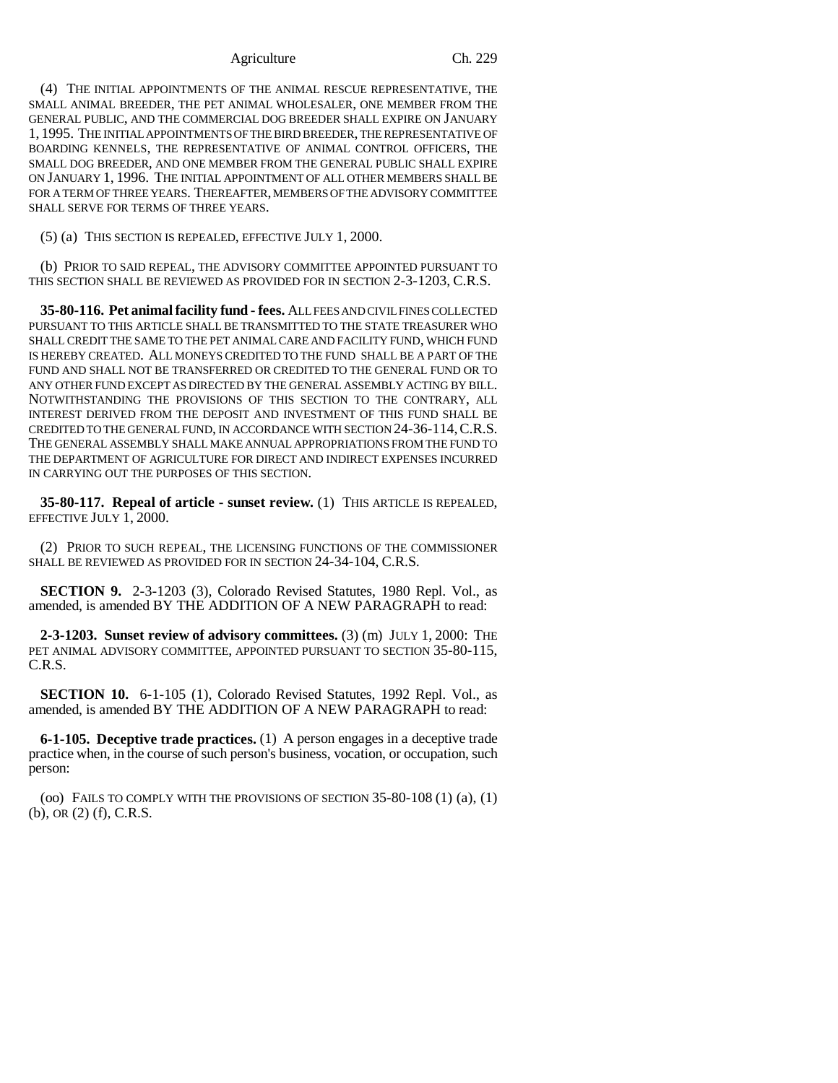#### Agriculture Ch. 229

(4) THE INITIAL APPOINTMENTS OF THE ANIMAL RESCUE REPRESENTATIVE, THE SMALL ANIMAL BREEDER, THE PET ANIMAL WHOLESALER, ONE MEMBER FROM THE GENERAL PUBLIC, AND THE COMMERCIAL DOG BREEDER SHALL EXPIRE ON JANUARY 1, 1995. THE INITIAL APPOINTMENTS OF THE BIRD BREEDER, THE REPRESENTATIVE OF BOARDING KENNELS, THE REPRESENTATIVE OF ANIMAL CONTROL OFFICERS, THE SMALL DOG BREEDER, AND ONE MEMBER FROM THE GENERAL PUBLIC SHALL EXPIRE ON JANUARY 1, 1996. THE INITIAL APPOINTMENT OF ALL OTHER MEMBERS SHALL BE FOR A TERM OF THREE YEARS. THEREAFTER, MEMBERS OF THE ADVISORY COMMITTEE SHALL SERVE FOR TERMS OF THREE YEARS.

(5) (a) THIS SECTION IS REPEALED, EFFECTIVE JULY 1, 2000.

(b) PRIOR TO SAID REPEAL, THE ADVISORY COMMITTEE APPOINTED PURSUANT TO THIS SECTION SHALL BE REVIEWED AS PROVIDED FOR IN SECTION 2-3-1203, C.R.S.

**35-80-116. Pet animal facility fund - fees.** ALL FEES AND CIVIL FINES COLLECTED PURSUANT TO THIS ARTICLE SHALL BE TRANSMITTED TO THE STATE TREASURER WHO SHALL CREDIT THE SAME TO THE PET ANIMAL CARE AND FACILITY FUND, WHICH FUND IS HEREBY CREATED. ALL MONEYS CREDITED TO THE FUND SHALL BE A PART OF THE FUND AND SHALL NOT BE TRANSFERRED OR CREDITED TO THE GENERAL FUND OR TO ANY OTHER FUND EXCEPT AS DIRECTED BY THE GENERAL ASSEMBLY ACTING BY BILL. NOTWITHSTANDING THE PROVISIONS OF THIS SECTION TO THE CONTRARY, ALL INTEREST DERIVED FROM THE DEPOSIT AND INVESTMENT OF THIS FUND SHALL BE CREDITED TO THE GENERAL FUND, IN ACCORDANCE WITH SECTION 24-36-114,C.R.S. THE GENERAL ASSEMBLY SHALL MAKE ANNUAL APPROPRIATIONS FROM THE FUND TO THE DEPARTMENT OF AGRICULTURE FOR DIRECT AND INDIRECT EXPENSES INCURRED IN CARRYING OUT THE PURPOSES OF THIS SECTION.

**35-80-117. Repeal of article - sunset review.** (1) THIS ARTICLE IS REPEALED, EFFECTIVE JULY 1, 2000.

(2) PRIOR TO SUCH REPEAL, THE LICENSING FUNCTIONS OF THE COMMISSIONER SHALL BE REVIEWED AS PROVIDED FOR IN SECTION 24-34-104, C.R.S.

**SECTION 9.** 2-3-1203 (3), Colorado Revised Statutes, 1980 Repl. Vol., as amended, is amended BY THE ADDITION OF A NEW PARAGRAPH to read:

**2-3-1203. Sunset review of advisory committees.** (3) (m) JULY 1, 2000: THE PET ANIMAL ADVISORY COMMITTEE, APPOINTED PURSUANT TO SECTION 35-80-115, C.R.S.

**SECTION 10.** 6-1-105 (1), Colorado Revised Statutes, 1992 Repl. Vol., as amended, is amended BY THE ADDITION OF A NEW PARAGRAPH to read:

**6-1-105. Deceptive trade practices.** (1) A person engages in a deceptive trade practice when, in the course of such person's business, vocation, or occupation, such person:

(oo) FAILS TO COMPLY WITH THE PROVISIONS OF SECTION  $35-80-108(1)(a)$ ,  $(1)$ (b), OR (2) (f), C.R.S.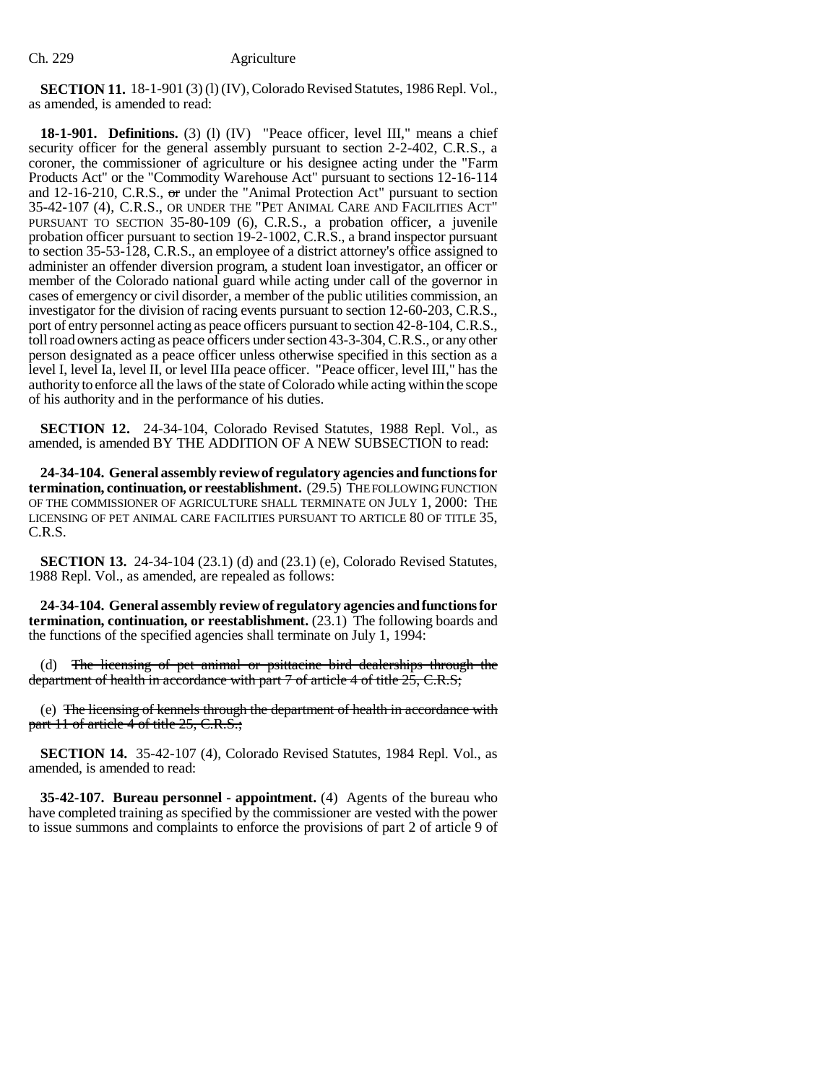**SECTION 11.** 18-1-901 (3) (l) (IV), Colorado Revised Statutes, 1986 Repl. Vol., as amended, is amended to read:

**18-1-901. Definitions.** (3) (1) (IV) "Peace officer, level III," means a chief security officer for the general assembly pursuant to section 2-2-402, C.R.S., a coroner, the commissioner of agriculture or his designee acting under the "Farm Products Act" or the "Commodity Warehouse Act" pursuant to sections 12-16-114 and 12-16-210, C.R.S., or under the "Animal Protection Act" pursuant to section 35-42-107 (4), C.R.S., OR UNDER THE "PET ANIMAL CARE AND FACILITIES ACT" PURSUANT TO SECTION 35-80-109 (6), C.R.S., a probation officer, a juvenile probation officer pursuant to section 19-2-1002, C.R.S., a brand inspector pursuant to section 35-53-128, C.R.S., an employee of a district attorney's office assigned to administer an offender diversion program, a student loan investigator, an officer or member of the Colorado national guard while acting under call of the governor in cases of emergency or civil disorder, a member of the public utilities commission, an investigator for the division of racing events pursuant to section 12-60-203, C.R.S., port of entry personnel acting as peace officers pursuant to section 42-8-104, C.R.S., toll road owners acting as peace officers under section 43-3-304, C.R.S., or any other person designated as a peace officer unless otherwise specified in this section as a level I, level Ia, level II, or level IIIa peace officer. "Peace officer, level III," has the authority to enforce all the laws of the state of Colorado while acting within the scope of his authority and in the performance of his duties.

**SECTION 12.** 24-34-104, Colorado Revised Statutes, 1988 Repl. Vol., as amended, is amended BY THE ADDITION OF A NEW SUBSECTION to read:

**24-34-104. General assembly review of regulatory agencies and functions for termination, continuation, or reestablishment.** (29.5) THE FOLLOWING FUNCTION OF THE COMMISSIONER OF AGRICULTURE SHALL TERMINATE ON JULY 1, 2000: THE LICENSING OF PET ANIMAL CARE FACILITIES PURSUANT TO ARTICLE 80 OF TITLE 35, C.R.S.

**SECTION 13.** 24-34-104 (23.1) (d) and (23.1) (e), Colorado Revised Statutes, 1988 Repl. Vol., as amended, are repealed as follows:

**24-34-104. General assembly review of regulatory agencies and functions for termination, continuation, or reestablishment.** (23.1) The following boards and the functions of the specified agencies shall terminate on July 1, 1994:

(d) The licensing of pet animal or psittacine bird dealerships through the department of health in accordance with part 7 of article 4 of title 25, C.R.S;

(e) The licensing of kennels through the department of health in accordance with part 11 of article 4 of title 25, C.R.S.;

**SECTION 14.** 35-42-107 (4), Colorado Revised Statutes, 1984 Repl. Vol., as amended, is amended to read:

**35-42-107. Bureau personnel - appointment.** (4) Agents of the bureau who have completed training as specified by the commissioner are vested with the power to issue summons and complaints to enforce the provisions of part 2 of article 9 of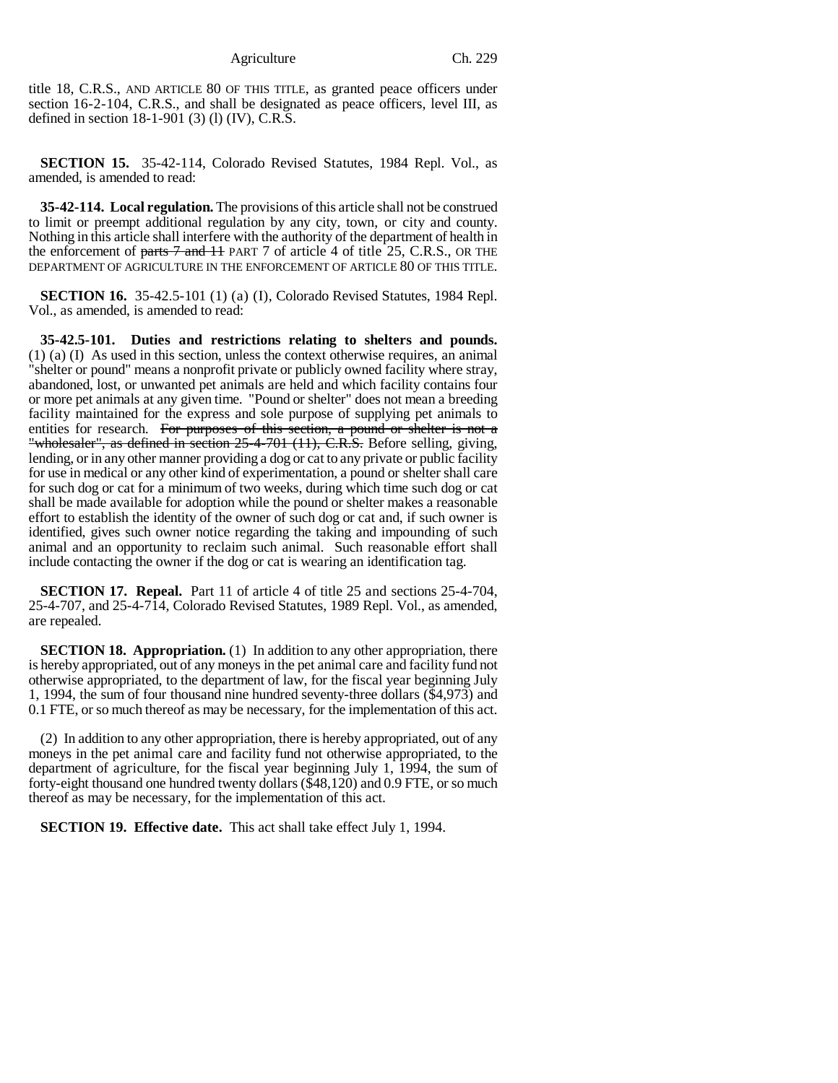title 18, C.R.S., AND ARTICLE 80 OF THIS TITLE, as granted peace officers under section 16-2-104, C.R.S., and shall be designated as peace officers, level III, as defined in section 18-1-901 (3) (l) (IV), C.R.S.

**SECTION 15.** 35-42-114, Colorado Revised Statutes, 1984 Repl. Vol., as amended, is amended to read:

**35-42-114. Local regulation.** The provisions of this article shall not be construed to limit or preempt additional regulation by any city, town, or city and county. Nothing in this article shall interfere with the authority of the department of health in the enforcement of parts  $\overline{\tau}$  and  $\overline{\tau}$  PART 7 of article 4 of title 25, C.R.S., OR THE DEPARTMENT OF AGRICULTURE IN THE ENFORCEMENT OF ARTICLE 80 OF THIS TITLE.

**SECTION 16.** 35-42.5-101 (1) (a) (I), Colorado Revised Statutes, 1984 Repl. Vol., as amended, is amended to read:

**35-42.5-101. Duties and restrictions relating to shelters and pounds.** (1) (a) (I) As used in this section, unless the context otherwise requires, an animal "shelter or pound" means a nonprofit private or publicly owned facility where stray, abandoned, lost, or unwanted pet animals are held and which facility contains four or more pet animals at any given time. "Pound or shelter" does not mean a breeding facility maintained for the express and sole purpose of supplying pet animals to entities for research. For purposes of this section, a pound or shelter is not a "wholesaler", as defined in section 25-4-701 (11), C.R.S. Before selling, giving, lending, or in any other manner providing a dog or cat to any private or public facility for use in medical or any other kind of experimentation, a pound or shelter shall care for such dog or cat for a minimum of two weeks, during which time such dog or cat shall be made available for adoption while the pound or shelter makes a reasonable effort to establish the identity of the owner of such dog or cat and, if such owner is identified, gives such owner notice regarding the taking and impounding of such animal and an opportunity to reclaim such animal. Such reasonable effort shall include contacting the owner if the dog or cat is wearing an identification tag.

**SECTION 17. Repeal.** Part 11 of article 4 of title 25 and sections 25-4-704, 25-4-707, and 25-4-714, Colorado Revised Statutes, 1989 Repl. Vol., as amended, are repealed.

**SECTION 18. Appropriation.** (1) In addition to any other appropriation, there is hereby appropriated, out of any moneys in the pet animal care and facility fund not otherwise appropriated, to the department of law, for the fiscal year beginning July 1, 1994, the sum of four thousand nine hundred seventy-three dollars (\$4,973) and 0.1 FTE, or so much thereof as may be necessary, for the implementation of this act.

(2) In addition to any other appropriation, there is hereby appropriated, out of any moneys in the pet animal care and facility fund not otherwise appropriated, to the department of agriculture, for the fiscal year beginning July 1, 1994, the sum of forty-eight thousand one hundred twenty dollars (\$48,120) and 0.9 FTE, or so much thereof as may be necessary, for the implementation of this act.

**SECTION 19. Effective date.** This act shall take effect July 1, 1994.